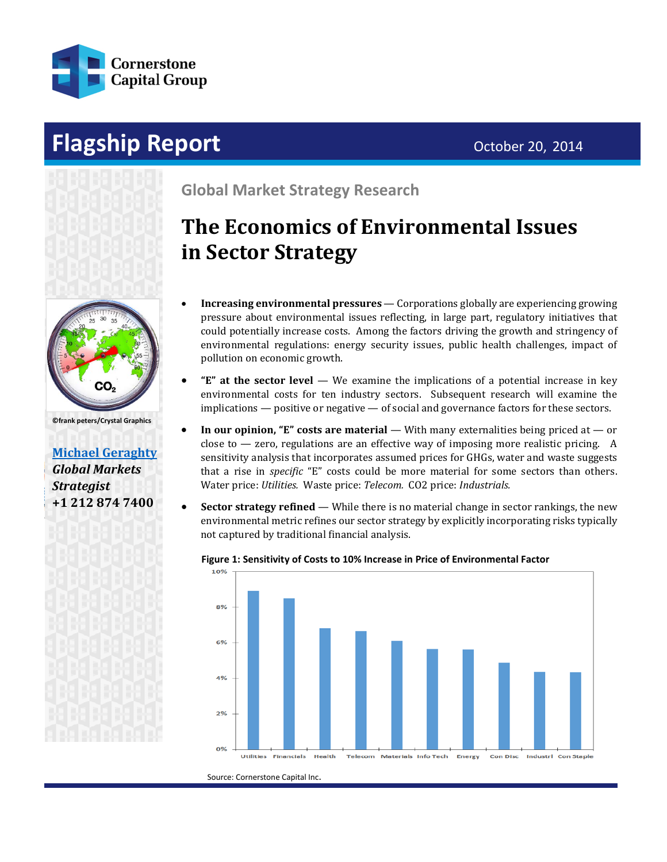

# **Flagship Report Contract Contract Contract Contract Contract Contract Contract Contract Contract Contract Contract Contract Contract Contract Contract Contract Contract Contract Contract Contract Contract Contract Contr**



**©frank peters/Crystal Graphics**

**[Michael Geraghty](mailto:michael.geraghty@cornerstonecapinc.com?subject=Information%20Request%20-%20Cornerstone%20Strategy%20Research%20)** *Global Markets Strategist* **+1 212 874 7400**

©nui7711/Shutterstock

**Global Market Strategy Research**

# **The Economics of Environmental Issues in Sector Strategy**

- **Increasing environmental pressures** Corporations globally are experiencing growing pressure about environmental issues reflecting, in large part, regulatory initiatives that could potentially increase costs. Among the factors driving the growth and stringency of environmental regulations: energy security issues, public health challenges, impact of pollution on economic growth.
- **"E" at the sector level** We examine the implications of a potential increase in key environmental costs for ten industry sectors. Subsequent research will examine the implications — positive or negative — of social and governance factors for these sectors.
- **In our opinion, "E" costs are material** With many externalities being priced at or close to  $-$  zero, regulations are an effective way of imposing more realistic pricing. A sensitivity analysis that incorporates assumed prices for GHGs, water and waste suggests that a rise in *specific* "E" costs could be more material for some sectors than others. Water price: *Utilities.* Waste price: *Telecom.* CO2 price: *Industrials.*
- **Sector strategy refined** While there is no material change in sector rankings, the new environmental metric refines our sector strategy by explicitly incorporating risks typically not captured by traditional financial analysis.



#### **Figure 1: Sensitivity of Costs to 10% Increase in Price of Environmental Factor**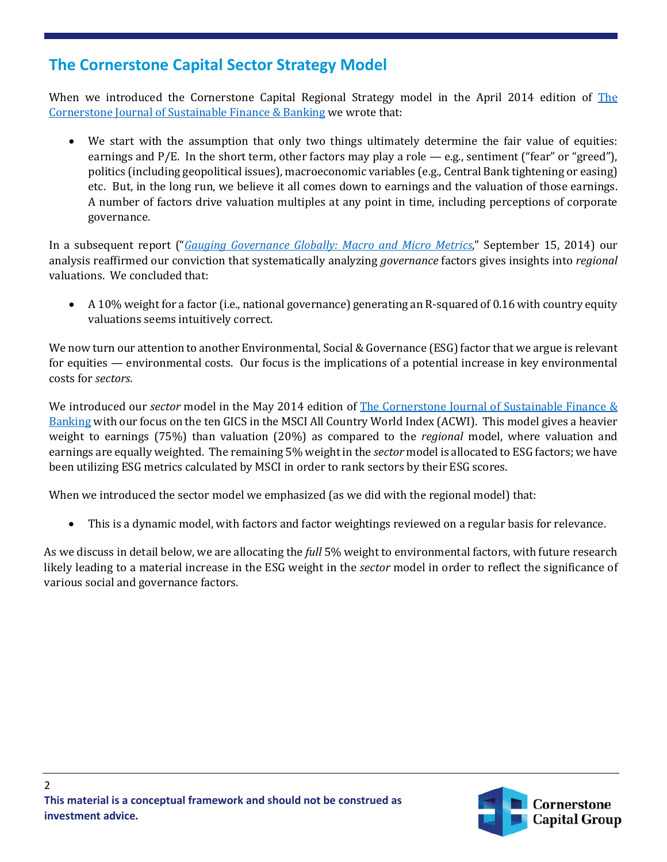### **The Cornerstone Capital Sector Strategy Model**

When we introduced the Cornerstone Capital Regional Strategy model in the April 2014 edition of [The](http://cornerstonecapinc.com/2014/04/introducing-cornerstone-capital-global-markets-regional-equity-strategy-model/)  [Cornerstone Journal of Sustainable Finance & Banking](http://cornerstonecapinc.com/2014/04/introducing-cornerstone-capital-global-markets-regional-equity-strategy-model/) we wrote that:

We start with the assumption that only two things ultimately determine the fair value of equities: earnings and P/E. In the short term, other factors may play a role — e.g., sentiment ("fear" or "greed"), politics (including geopolitical issues), macroeconomic variables (e.g., Central Bank tightening or easing) etc. But, in the long run, we believe it all comes down to earnings and the valuation of those earnings. A number of factors drive valuation multiples at any point in time, including perceptions of corporate governance.

In a subsequent report ("*[Gauging Governance Globally: Macro and Micro Metrics](http://cornerstonecapinc.com/2014/09/gauging-governance-globally/)*," September 15, 2014) our analysis reaffirmed our conviction that systematically analyzing *governance* factors gives insights into *regional* valuations. We concluded that:

• A 10% weight for a factor (i.e., national governance) generating an R-squared of 0.16 with country equity valuations seems intuitively correct.

We now turn our attention to another Environmental, Social & Governance (ESG) factor that we argue is relevant for equities — environmental costs. Our focus is the implications of a potential increase in key environmental costs for *sectors*.

We introduced our *sector* model in the May 2014 edition of [The Cornerstone Journal of Sustainable Finance &](http://cornerstonecapinc.com/2014/05/introducing-cornerstone-capital-global-sector-strategy/)  [Banking](http://cornerstonecapinc.com/2014/05/introducing-cornerstone-capital-global-sector-strategy/) with our focus on the ten GICS in the MSCI All Country World Index (ACWI). This model gives a heavier weight to earnings (75%) than valuation (20%) as compared to the *regional* model, where valuation and earnings are equally weighted. The remaining 5% weight in the *sector* model is allocated to ESG factors; we have been utilizing ESG metrics calculated by MSCI in order to rank sectors by their ESG scores.

When we introduced the sector model we emphasized (as we did with the regional model) that:

• This is a dynamic model, with factors and factor weightings reviewed on a regular basis for relevance.

As we discuss in detail below, we are allocating the *full* 5% weight to environmental factors, with future research likely leading to a material increase in the ESG weight in the *sector* model in order to reflect the significance of various social and governance factors.

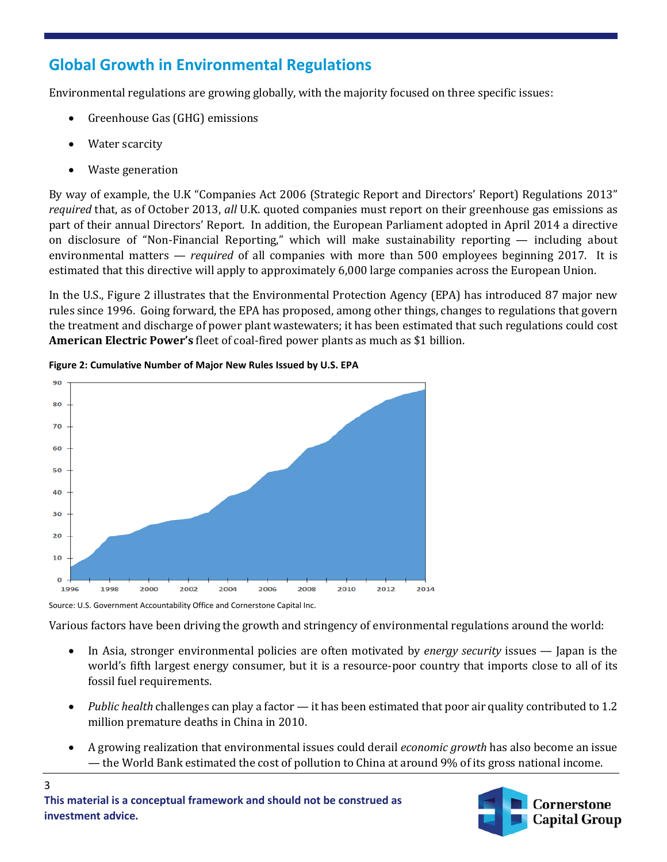# **Global Growth in Environmental Regulations**

Environmental regulations are growing globally, with the majority focused on three specific issues:

- Greenhouse Gas (GHG) emissions
- Water scarcity
- Waste generation

By way of example, the U.K "Companies Act 2006 (Strategic Report and Directors' Report) Regulations 2013" *required* that, as of October 2013, *all* U.K. quoted companies must report on their greenhouse gas emissions as part of their annual Directors' Report. In addition, the European Parliament adopted in April 2014 a directive on disclosure of "Non-Financial Reporting," which will make sustainability reporting — including about environmental matters — *required* of all companies with more than 500 employees beginning 2017. It is estimated that this directive will apply to approximately 6,000 large companies across the European Union.

In the U.S., Figure 2 illustrates that the Environmental Protection Agency (EPA) has introduced 87 major new rules since 1996. Going forward, the EPA has proposed, among other things, changes to regulations that govern the treatment and discharge of power plant wastewaters; it has been estimated that such regulations could cost **American Electric Power's** fleet of coal-fired power plants as much as \$1 billion.





Source: U.S. Government Accountability Office and Cornerstone Capital Inc.

Various factors have been driving the growth and stringency of environmental regulations around the world:

- In Asia, stronger environmental policies are often motivated by *energy security* issues Japan is the world's fifth largest energy consumer, but it is a resource-poor country that imports close to all of its fossil fuel requirements.
- *Public health* challenges can play a factor it has been estimated that poor air quality contributed to 1.2 million premature deaths in China in 2010.
- A growing realization that environmental issues could derail *economic growth* has also become an issue — the World Bank estimated the cost of pollution to China at around 9% of its gross national income.

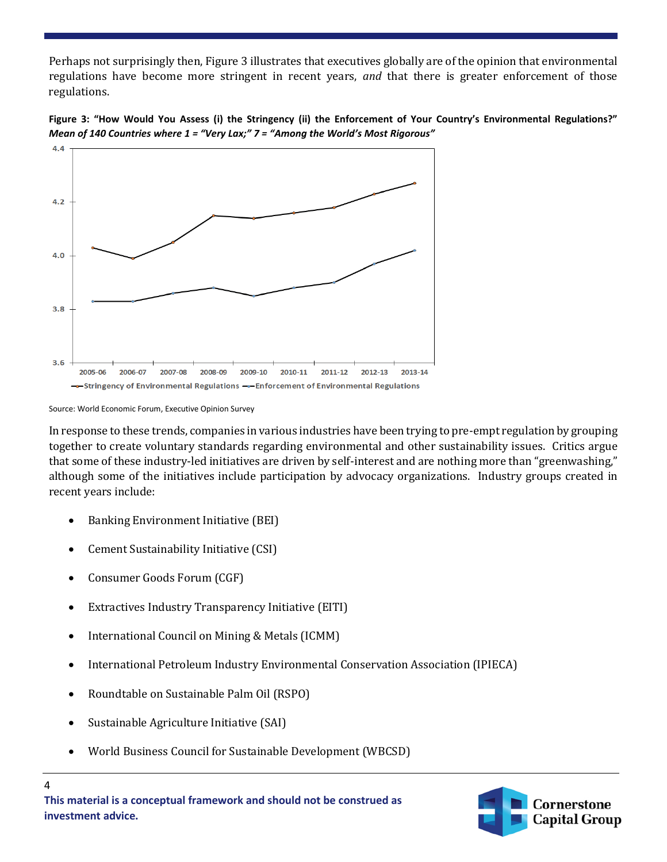Perhaps not surprisingly then, Figure 3 illustrates that executives globally are of the opinion that environmental regulations have become more stringent in recent years, *and* that there is greater enforcement of those regulations.





Source: World Economic Forum, Executive Opinion Survey

In response to these trends, companies in various industries have been trying to pre-empt regulation by grouping together to create voluntary standards regarding environmental and other sustainability issues. Critics argue that some of these industry-led initiatives are driven by self-interest and are nothing more than "greenwashing," although some of the initiatives include participation by advocacy organizations. Industry groups created in recent years include:

- Banking Environment Initiative (BEI)
- Cement Sustainability Initiative (CSI)
- Consumer Goods Forum (CGF)
- Extractives Industry Transparency Initiative (EITI)
- International Council on Mining & Metals (ICMM)
- International Petroleum Industry Environmental Conservation Association (IPIECA)
- Roundtable on Sustainable Palm Oil (RSPO)
- Sustainable Agriculture Initiative (SAI)
- World Business Council for Sustainable Development (WBCSD)

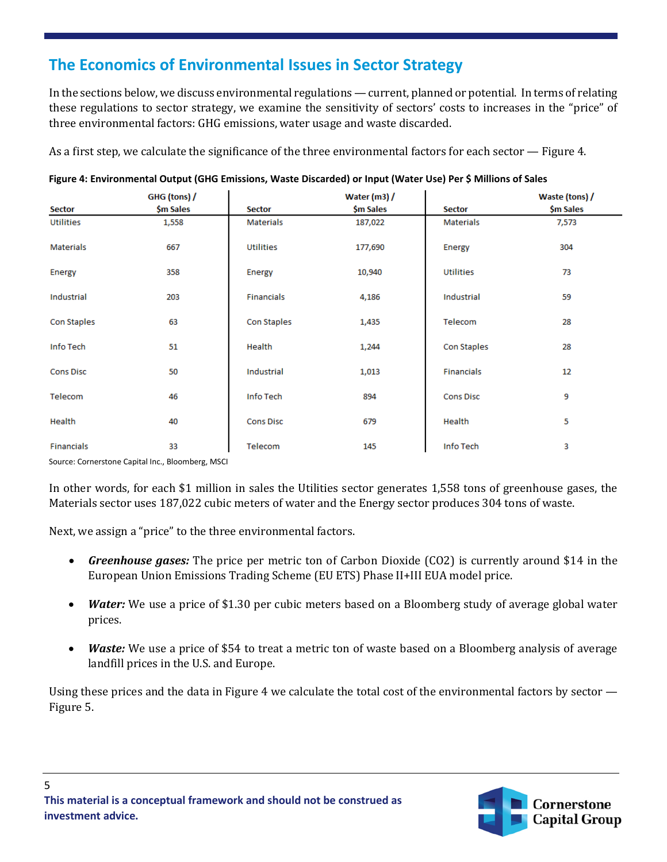# **The Economics of Environmental Issues in Sector Strategy**

In the sections below, we discuss environmental regulations — current, planned or potential. In terms of relating these regulations to sector strategy, we examine the sensitivity of sectors' costs to increases in the "price" of three environmental factors: GHG emissions, water usage and waste discarded.

As a first step, we calculate the significance of the three environmental factors for each sector — Figure 4.

|                                    | GHG (tons) /    |                  | Water $(m3)$ / |                  | Waste (tons) / |
|------------------------------------|-----------------|------------------|----------------|------------------|----------------|
| <b>Sector</b>                      | \$m Sales       | <b>Sector</b>    | \$m Sales      | <b>Sector</b>    | \$m Sales      |
| Utilities                          | 1,558           | Materials        | 187,022        | <b>Materials</b> | 7,573          |
| <b>Materials</b>                   | 667             | Utilities        | 177,690        | Energy           | 304            |
| Energy                             | 358             | Energy           | 10,940         | Utilities        | 73             |
| Industrial                         | 203             | Financials       | 4,186          | Industrial       | 59             |
| Con Staples                        | 63              | Con Staples      | 1,435          | Telecom          | 28             |
| Info Tech                          | 51              | Health           | 1,244          | Con Staples      | 28             |
| <b>Cons Disc</b>                   | 50              | Industrial       | 1,013          | Financials       | 12             |
| Telecom                            | 46              | Info Tech        | 894            | <b>Cons Disc</b> | 9              |
| Health                             | 40              | <b>Cons Disc</b> | 679            | Health           | 5              |
| Financials<br>$\sim$ $\sim$ $\sim$ | 33<br>$-1$ $-1$ | Telecom          | 145            | Info Tech        | 3              |

|  | Figure 4: Environmental Output (GHG Emissions, Waste Discarded) or Input (Water Use) Per \$ Millions of Sales |
|--|---------------------------------------------------------------------------------------------------------------|
|--|---------------------------------------------------------------------------------------------------------------|

Source: Cornerstone Capital Inc., Bloomberg, MSCI

5

In other words, for each \$1 million in sales the Utilities sector generates 1,558 tons of greenhouse gases, the Materials sector uses 187,022 cubic meters of water and the Energy sector produces 304 tons of waste.

Next, we assign a "price" to the three environmental factors.

- *Greenhouse gases:* The price per metric ton of Carbon Dioxide (CO2) is currently around \$14 in the European Union Emissions Trading Scheme (EU ETS) Phase II+III EUA model price.
- *Water:* We use a price of \$1.30 per cubic meters based on a Bloomberg study of average global water prices.
- *Waste:* We use a price of \$54 to treat a metric ton of waste based on a Bloomberg analysis of average landfill prices in the U.S. and Europe.

Using these prices and the data in Figure 4 we calculate the total cost of the environmental factors by sector — Figure 5.

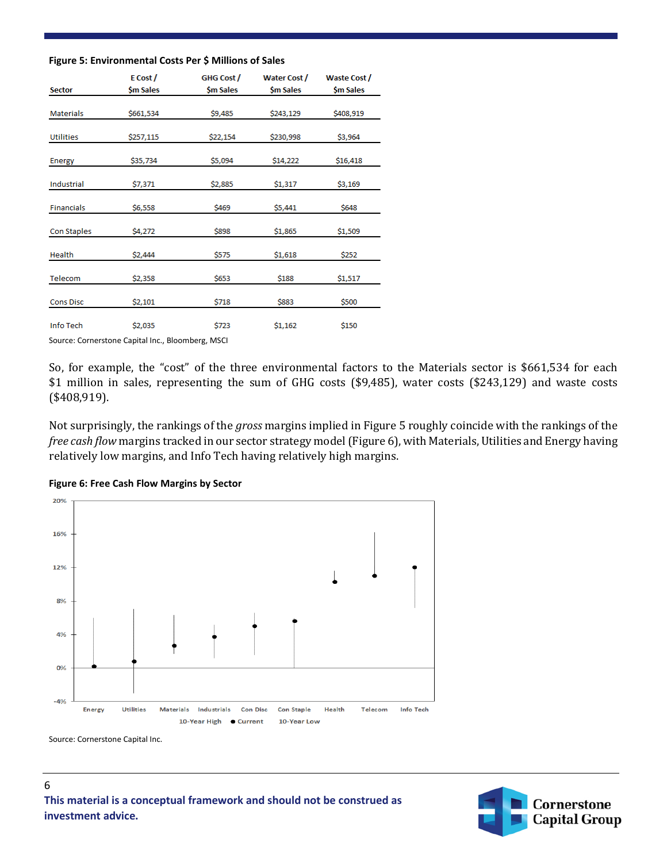#### **Figure 5: Environmental Costs Per \$ Millions of Sales**

|                    | E Cost/   | GHG Cost/ | <b>Water Cost /</b> | <b>Waste Cost /</b> |
|--------------------|-----------|-----------|---------------------|---------------------|
| <b>Sector</b>      | \$m Sales | \$m Sales | \$m Sales           | \$m Sales           |
| <b>Materials</b>   | \$661,534 | \$9,485   | \$243,129           | \$408,919           |
| <b>Utilities</b>   | \$257,115 | \$22,154  | \$230,998           | \$3,964             |
| Energy             | \$35,734  | \$5,094   | \$14,222            | \$16,418            |
| <b>Industrial</b>  | \$7,371   | \$2,885   | \$1,317             | \$3,169             |
| <b>Financials</b>  | \$6,558   | \$469     | \$5,441             | \$648               |
| <b>Con Staples</b> | \$4,272   | \$898     | \$1,865             | \$1,509             |
| Health             | \$2,444   | \$575     | \$1,618             | \$252               |
| Telecom            | \$2,358   | \$653     | \$188               | \$1,517             |
| <b>Cons Disc</b>   | \$2,101   | \$718     | \$883               | \$500               |
| Info Tech          | \$2,035   | \$723     | \$1,162             | \$150               |

Source: Cornerstone Capital Inc., Bloomberg, MSCI

So, for example, the "cost" of the three environmental factors to the Materials sector is \$661,534 for each \$1 million in sales, representing the sum of GHG costs (\$9,485), water costs (\$243,129) and waste costs (\$408,919).

Not surprisingly, the rankings of the *gross* margins implied in Figure 5 roughly coincide with the rankings of the *free cash flow* margins tracked in our sector strategy model (Figure 6), with Materials, Utilities and Energy having relatively low margins, and Info Tech having relatively high margins.





Source: Cornerstone Capital Inc.

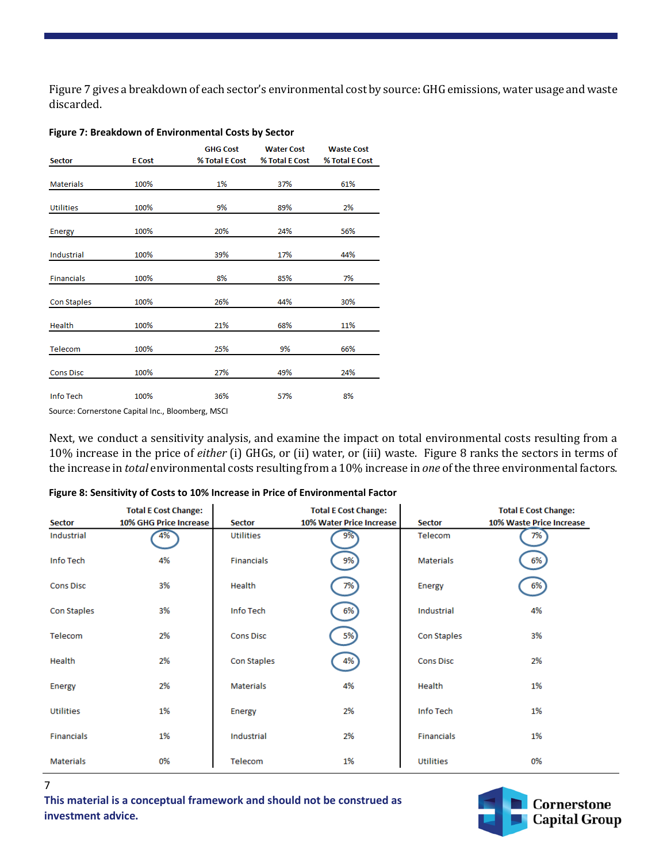Figure 7 gives a breakdown of each sector's environmental cost by source: GHG emissions, water usage and waste discarded.

#### **Figure 7: Breakdown of Environmental Costs by Sector**

|                   |               | <b>GHG Cost</b> | <b>Water Cost</b> | <b>Waste Cost</b> |
|-------------------|---------------|-----------------|-------------------|-------------------|
| <b>Sector</b>     | <b>E</b> Cost | % Total E Cost  | % Total E Cost    | % Total E Cost    |
|                   |               |                 |                   |                   |
| <b>Materials</b>  | 100%          | 1%              | 37%               | 61%               |
|                   |               |                 |                   |                   |
| <b>Utilities</b>  | 100%          | 9%              | 89%               | 2%                |
|                   |               |                 |                   |                   |
| <b>Energy</b>     | 100%          | 20%             | 24%               | 56%               |
|                   |               |                 |                   |                   |
| Industrial        | 100%          | 39%             | 17%               | 44%               |
|                   |               |                 |                   |                   |
| <b>Financials</b> | 100%          | 8%              | 85%               | 7%                |
|                   |               |                 |                   |                   |
| Con Staples       | 100%          | 26%             | 44%               | 30%               |
|                   |               |                 |                   |                   |
| Health            | 100%          | 21%             | 68%               | 11%               |
|                   |               |                 |                   |                   |
| Telecom           | 100%          | 25%             | 9%                | 66%               |
|                   |               |                 |                   |                   |
| <b>Cons Disc</b>  | 100%          | 27%             | 49%               | 24%               |
|                   |               |                 |                   |                   |
| <b>Info Tech</b>  | 100%          | 36%             | 57%               | 8%                |
|                   |               |                 |                   |                   |

Source: Cornerstone Capital Inc., Bloomberg, MSCI

Next, we conduct a sensitivity analysis, and examine the impact on total environmental costs resulting from a 10% increase in the price of *either* (i) GHGs, or (ii) water, or (iii) waste. Figure 8 ranks the sectors in terms of the increase in *total* environmental costs resulting from a 10% increase in *one* of the three environmental factors.

| Figure 8: Sensitivity of Costs to 10% Increase in Price of Environmental Factor |  |  |  |  |
|---------------------------------------------------------------------------------|--|--|--|--|
|---------------------------------------------------------------------------------|--|--|--|--|

|                   | <b>Total E Cost Change:</b> |                   | <b>Total E Cost Change:</b> |                  | <b>Total E Cost Change:</b> |
|-------------------|-----------------------------|-------------------|-----------------------------|------------------|-----------------------------|
| <b>Sector</b>     | 10% GHG Price Increase      | <b>Sector</b>     | 10% Water Price Increase    | <b>Sector</b>    | 10% Waste Price Increase    |
| Industrial        | 4%                          | Utilities         | 9%                          | Telecom          | 7%                          |
| Info Tech         | 4%                          | <b>Financials</b> | 9%)                         | Materials        | 6%                          |
| <b>Cons Disc</b>  | 3%                          | Health            | 7%                          | Energy           | 6%                          |
| Con Staples       | 3%                          | Info Tech         | 6%)                         | Industrial       | 4%                          |
| Telecom           | 2%                          | <b>Cons Disc</b>  | 5%)                         | Con Staples      | 3%                          |
| Health            | 2%                          | Con Staples       | 4%                          | <b>Cons Disc</b> | 2%                          |
| <b>Energy</b>     | 2%                          | <b>Materials</b>  | 4%                          | Health           | 1%                          |
| <b>Utilities</b>  | 1%                          | Energy            | 2%                          | Info Tech        | 1%                          |
| <b>Financials</b> | 1%                          | Industrial        | 2%                          | Financials       | 1%                          |
| <b>Materials</b>  | 0%                          | Telecom           | 1%                          | Utilities        | 0%                          |

7

**This material is a conceptual framework and should not be construed as investment advice.**

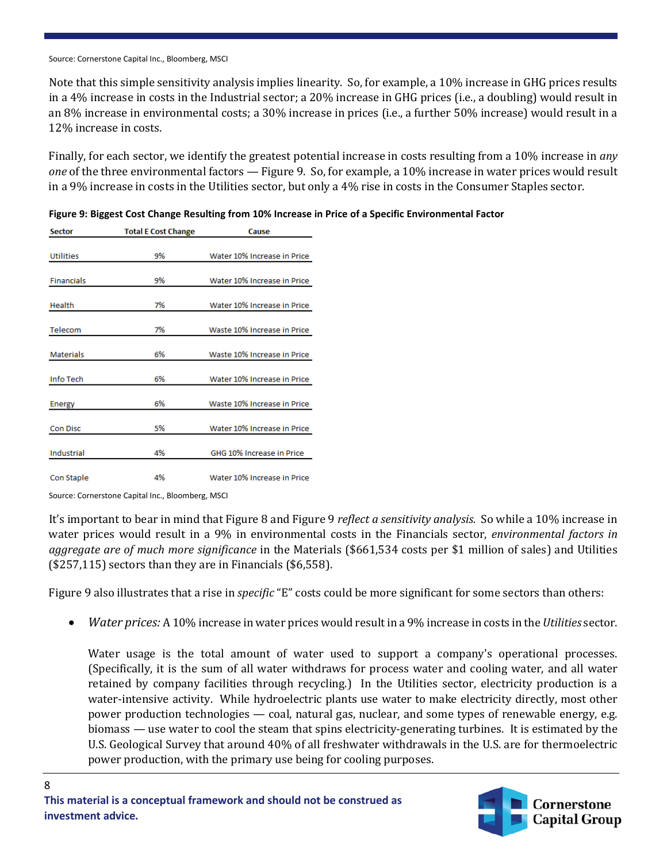Source: Cornerstone Capital Inc., Bloomberg, MSCI

Note that this simple sensitivity analysis implies linearity. So, for example, a 10% increase in GHG prices results in a 4% increase in costs in the Industrial sector; a 20% increase in GHG prices (i.e., a doubling) would result in an 8% increase in environmental costs; a 30% increase in prices (i.e., a further 50% increase) would result in a 12% increase in costs.

Finally, for each sector, we identify the greatest potential increase in costs resulting from a 10% increase in *any one* of the three environmental factors — Figure 9. So, for example, a 10% increase in water prices would result in a 9% increase in costs in the Utilities sector, but only a 4% rise in costs in the Consumer Staples sector.

| <b>Sector</b>     | <b>Total E Cost Change</b> | Cause                       |
|-------------------|----------------------------|-----------------------------|
| <b>Utilities</b>  | 9%                         | Water 10% Increase in Price |
| <b>Financials</b> | 9%                         | Water 10% Increase in Price |
| Health            | 7%                         | Water 10% Increase in Price |
| Telecom           | 7%                         | Waste 10% Increase in Price |
| <b>Materials</b>  | 6%                         | Waste 10% Increase in Price |
| Info Tech         | 6%                         | Water 10% Increase in Price |
| <b>Energy</b>     | 6%                         | Waste 10% Increase in Price |
| <b>Con Disc</b>   | 5%                         | Water 10% Increase in Price |
| Industrial        | 4%                         | GHG 10% Increase in Price   |
| Con Staple        | 4%                         | Water 10% Increase in Price |

|  |  | Figure 9: Biggest Cost Change Resulting from 10% Increase in Price of a Specific Environmental Factor |  |
|--|--|-------------------------------------------------------------------------------------------------------|--|
|  |  |                                                                                                       |  |

Source: Cornerstone Capital Inc., Bloomberg, MSCI

8

It's important to bear in mind that Figure 8 and Figure 9 *reflect a sensitivity analysis.* So while a 10% increase in water prices would result in a 9% in environmental costs in the Financials sector, *environmental factors in aggregate are of much more significance* in the Materials (\$661,534 costs per \$1 million of sales) and Utilities (\$257,115) sectors than they are in Financials (\$6,558).

Figure 9 also illustrates that a rise in *specific* "E" costs could be more significant for some sectors than others:

• *Water prices:* A 10% increase in water prices would result in a 9% increase in costs in the *Utilities* sector.

Water usage is the total amount of water used to support a company's operational processes. (Specifically, it is the sum of all water withdraws for process water and cooling water, and all water retained by company facilities through recycling.) In the Utilities sector, electricity production is a water-intensive activity. While hydroelectric plants use water to make electricity directly, most other power production technologies — coal, natural gas, nuclear, and some types of renewable energy, e.g. biomass — use water to cool the steam that spins electricity-generating turbines. It is estimated by the U.S. Geological Survey that around 40% of all freshwater withdrawals in the U.S. are for thermoelectric power production, with the primary use being for cooling purposes.

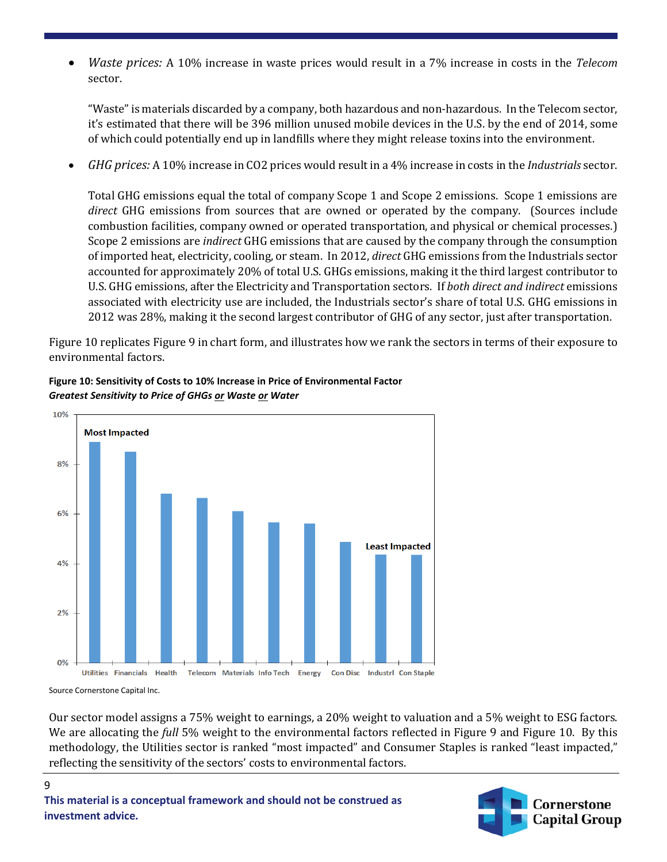• *Waste prices:* A 10% increase in waste prices would result in a 7% increase in costs in the *Telecom* sector.

"Waste" is materials discarded by a company, both hazardous and non-hazardous. In the Telecom sector, it's estimated that there will be 396 million unused mobile devices in the U.S. by the end of 2014, some of which could potentially end up in landfills where they might release toxins into the environment.

• *GHG prices:* A 10% increase in CO2 prices would result in a 4% increase in costs in the *Industrials* sector.

Total GHG emissions equal the total of company Scope 1 and Scope 2 emissions. Scope 1 emissions are *direct* GHG emissions from sources that are owned or operated by the company. (Sources include combustion facilities, company owned or operated transportation, and physical or chemical processes.) Scope 2 emissions are *indirect* GHG emissions that are caused by the company through the consumption of imported heat, electricity, cooling, or steam. In 2012, *direct* GHG emissions from the Industrials sector accounted for approximately 20% of total U.S. GHGs emissions, making it the third largest contributor to U.S. GHG emissions, after the Electricity and Transportation sectors. If *both direct and indirect* emissions associated with electricity use are included, the Industrials sector's share of total U.S. GHG emissions in 2012 was 28%, making it the second largest contributor of GHG of any sector, just after transportation.

Figure 10 replicates Figure 9 in chart form, and illustrates how we rank the sectors in terms of their exposure to environmental factors.



**Figure 10: Sensitivity of Costs to 10% Increase in Price of Environmental Factor** *Greatest Sensitivity to Price of GHGs or Waste or Water*

Source Cornerstone Capital Inc.

9

Our sector model assigns a 75% weight to earnings, a 20% weight to valuation and a 5% weight to ESG factors. We are allocating the *full* 5% weight to the environmental factors reflected in Figure 9 and Figure 10. By this methodology, the Utilities sector is ranked "most impacted" and Consumer Staples is ranked "least impacted," reflecting the sensitivity of the sectors' costs to environmental factors.

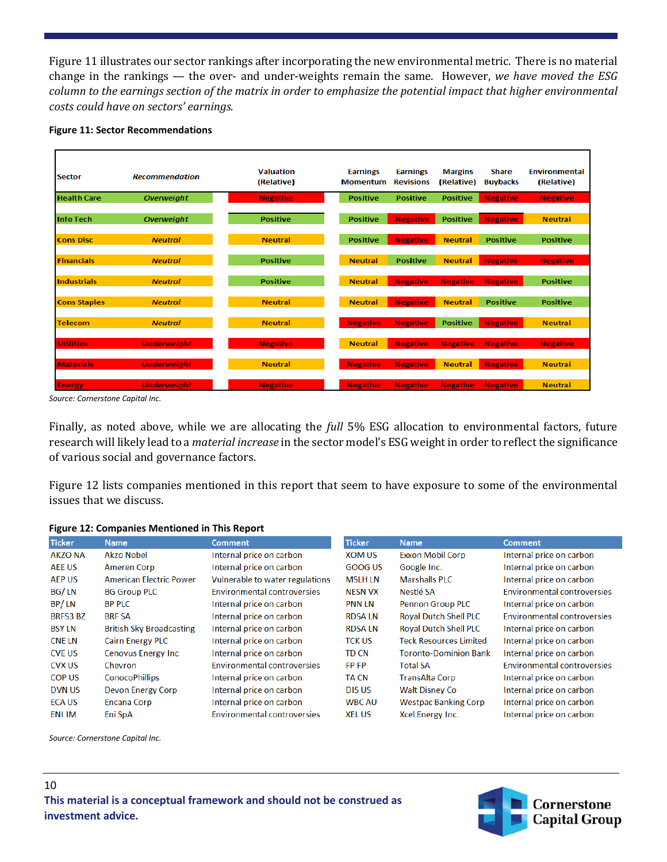Figure 11 illustrates our sector rankings after incorporating the new environmental metric. There is no material change in the rankings — the over- and under-weights remain the same. However, *we have moved the ESG column to the earnings section of the matrix in order to emphasize the potential impact that higher environmental costs could have on sectors' earnings.*



| <b>Sector</b>       | <b>Recommendation</b> | <b>Valuation</b><br>(Relative) | <b>Earnings</b><br><b>Momentum</b> | <b>Earnings</b><br><b>Revisions</b> | <b>Margins</b><br>(Relative) | <b>Share</b><br><b>Buybacks</b> | <b>Environmental</b><br>(Relative) |
|---------------------|-----------------------|--------------------------------|------------------------------------|-------------------------------------|------------------------------|---------------------------------|------------------------------------|
| <b>Health Care</b>  | <b>Overweight</b>     | <b>Negative</b>                | <b>Positive</b>                    | <b>Positive</b>                     | <b>Positive</b>              | <b>Negative</b>                 | <b>Negative</b>                    |
| <b>Info Tech</b>    | <b>Overweight</b>     | <b>Positive</b>                | <b>Positive</b>                    | <b>Negative</b>                     | <b>Positive</b>              | <b>Negative</b>                 | <b>Neutral</b>                     |
| <b>Cons Disc</b>    | <b>Neutral</b>        | <b>Neutral</b>                 | <b>Positive</b>                    | <b>Negative</b>                     | <b>Neutral</b>               | <b>Positive</b>                 | <b>Positive</b>                    |
| <b>Financials</b>   | <b>Neutral</b>        | <b>Positive</b>                | <b>Neutral</b>                     | <b>Positive</b>                     | <b>Neutral</b>               | <b>Negative</b>                 | <b>Negative</b>                    |
| <b>Industrials</b>  | <b>Neutral</b>        | <b>Positive</b>                | <b>Neutral</b>                     | <b>Negative</b>                     | <b>Negative</b>              | <b>Negative</b>                 | <b>Positive</b>                    |
| <b>Cons Staples</b> | <b>Neutral</b>        | <b>Neutral</b>                 | <b>Neutral</b>                     | <b>Negative</b>                     | <b>Neutral</b>               | <b>Positive</b>                 | <b>Positive</b>                    |
| <b>Telecom</b>      | <b>Neutral</b>        | <b>Neutral</b>                 | <b>Negative</b>                    | <b>Negative</b>                     | <b>Positive</b>              | <b>Negative</b>                 | <b>Neutral</b>                     |
| <b>Utilities</b>    | <b>Underweight</b>    | <b>Negative</b>                | <b>Neutral</b>                     | <b>Negative</b>                     | <b>Negative</b>              | <b>Negative</b>                 | <b>Negative</b>                    |
| <b>Materials</b>    | <b>Underweight</b>    | <b>Neutral</b>                 | <b>Negative</b>                    | <b>Negative</b>                     | <b>Neutral</b>               | <b>Negative</b>                 | <b>Neutral</b>                     |
| <b>Energy</b>       | <b>Underweight</b>    | <b>Negative</b>                | <b>Negative</b>                    | <b>Negative</b>                     | <b>Negative</b>              | <b>Negative</b>                 | <b>Neutral</b>                     |

*Source: Cornerstone Capital Inc.*

Finally, as noted above, while we are allocating the *full* 5% ESG allocation to environmental factors, future research will likely lead to a *material increase* in the sector model's ESG weight in order to reflect the significance of various social and governance factors.

Figure 12 lists companies mentioned in this report that seem to have exposure to some of the environmental issues that we discuss.

| <b>Ticker</b>   | <b>Name</b>                     | <b>Comment</b>                     | <b>Ticker</b>  | <b>Name</b>                   | <b>Comment</b>                     |
|-----------------|---------------------------------|------------------------------------|----------------|-------------------------------|------------------------------------|
| <b>AKZO NA</b>  | <b>Akzo Nobel</b>               | Internal price on carbon           | <b>XOM US</b>  | <b>Exxon Mobil Corp</b>       | Internal price on carbon           |
| <b>AEE US</b>   | Ameren Corp                     | Internal price on carbon           | GOOG US        | Google Inc.                   | Internal price on carbon           |
| AEP US          | <b>American Electric Power</b>  | Vulnerable to water regulations    | MSLH LN        | <b>Marshalls PLC</b>          | Internal price on carbon           |
| BG/LN           | <b>BG Group PLC</b>             | <b>Environmental controversies</b> | <b>NESN VX</b> | Nestlé SA                     | <b>Environmental controversies</b> |
| BP/LN           | <b>BP PLC</b>                   | Internal price on carbon           | <b>PNN LN</b>  | <b>Pennon Group PLC</b>       | Internal price on carbon           |
| <b>BRFS3 BZ</b> | <b>BRF SA</b>                   | Internal price on carbon           | <b>RDSA LN</b> | <b>Royal Dutch Shell PLC</b>  | <b>Environmental controversies</b> |
| <b>BSY LN</b>   | <b>British Sky Broadcasting</b> | Internal price on carbon           | <b>RDSA LN</b> | <b>Royal Dutch Shell PLC</b>  | Internal price on carbon           |
| <b>CNE LN</b>   | <b>Cairn Energy PLC</b>         | Internal price on carbon           | <b>TCK US</b>  | <b>Teck Resources Limited</b> | Internal price on carbon           |
| <b>CVE US</b>   | Cenovus Energy Inc              | Internal price on carbon           | <b>TD CN</b>   | Toronto-Dominion Bank         | Internal price on carbon           |
| <b>CVX US</b>   | Chevron                         | <b>Environmental controversies</b> | <b>FP FP</b>   | <b>Total SA</b>               | <b>Environmental controversies</b> |
| <b>COP US</b>   | <b>ConocoPhillips</b>           | Internal price on carbon           | <b>TA CN</b>   | <b>TransAlta Corp</b>         | Internal price on carbon           |
| <b>DVN US</b>   | Devon Energy Corp               | Internal price on carbon           | <b>DISUS</b>   | <b>Walt Disney Co</b>         | Internal price on carbon           |
| <b>ECA US</b>   | <b>Encana Corp</b>              | Internal price on carbon           | <b>WBC AU</b>  | <b>Westpac Banking Corp</b>   | Internal price on carbon           |
| ENI IM          | Eni SpA                         | <b>Environmental controversies</b> | <b>XEL US</b>  | Xcel Energy Inc.              | Internal price on carbon           |

#### **Figure 12: Companies Mentioned in This Report**

*Source: Cornerstone Capital Inc.*

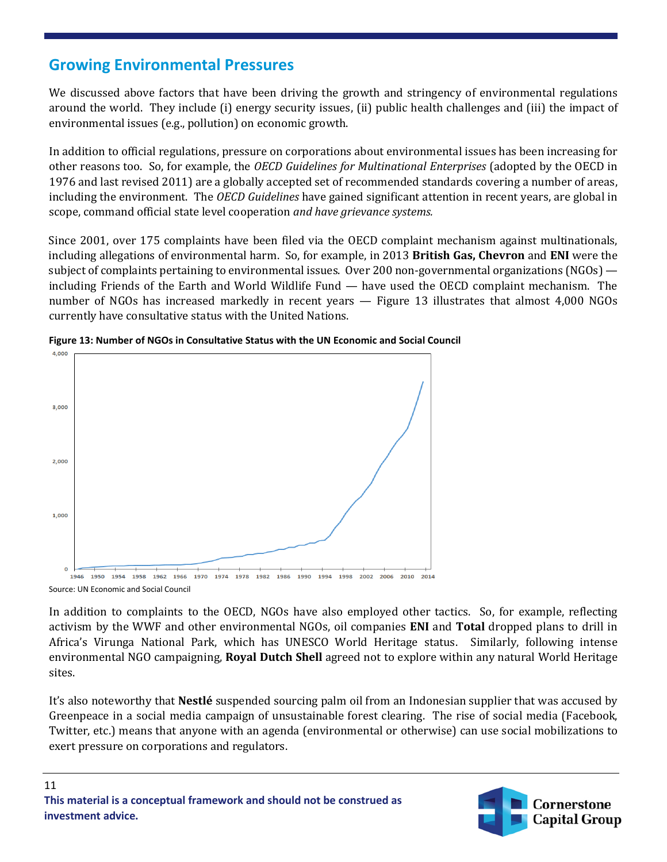### **Growing Environmental Pressures**

We discussed above factors that have been driving the growth and stringency of environmental regulations around the world. They include (i) energy security issues, (ii) public health challenges and (iii) the impact of environmental issues (e.g., pollution) on economic growth.

In addition to official regulations, pressure on corporations about environmental issues has been increasing for other reasons too. So, for example, the *OECD Guidelines for Multinational Enterprises* (adopted by the OECD in 1976 and last revised 2011) are a globally accepted set of recommended standards covering a number of areas, including the environment. The *OECD Guidelines* have gained significant attention in recent years, are global in scope, command official state level cooperation *and have grievance systems.*

Since 2001, over 175 complaints have been filed via the OECD complaint mechanism against multinationals, including allegations of environmental harm. So, for example, in 2013 **British Gas, Chevron** and **ENI** were the subject of complaints pertaining to environmental issues. Over 200 non-governmental organizations (NGOs) including Friends of the Earth and World Wildlife Fund — have used the OECD complaint mechanism. The number of NGOs has increased markedly in recent years — Figure 13 illustrates that almost 4,000 NGOs currently have consultative status with the United Nations.





Source: UN Economic and Social Council

In addition to complaints to the OECD, NGOs have also employed other tactics. So, for example, reflecting activism by the WWF and other environmental NGOs, oil companies **ENI** and **Total** dropped plans to drill in Africa's Virunga National Park, which has UNESCO World Heritage status. Similarly, following intense environmental NGO campaigning, **Royal Dutch Shell** agreed not to explore within any natural World Heritage sites.

It's also noteworthy that **Nestlé** suspended sourcing palm oil from an Indonesian supplier that was accused by Greenpeace in a social media campaign of unsustainable forest clearing. The rise of social media (Facebook, Twitter, etc.) means that anyone with an agenda (environmental or otherwise) can use social mobilizations to exert pressure on corporations and regulators.

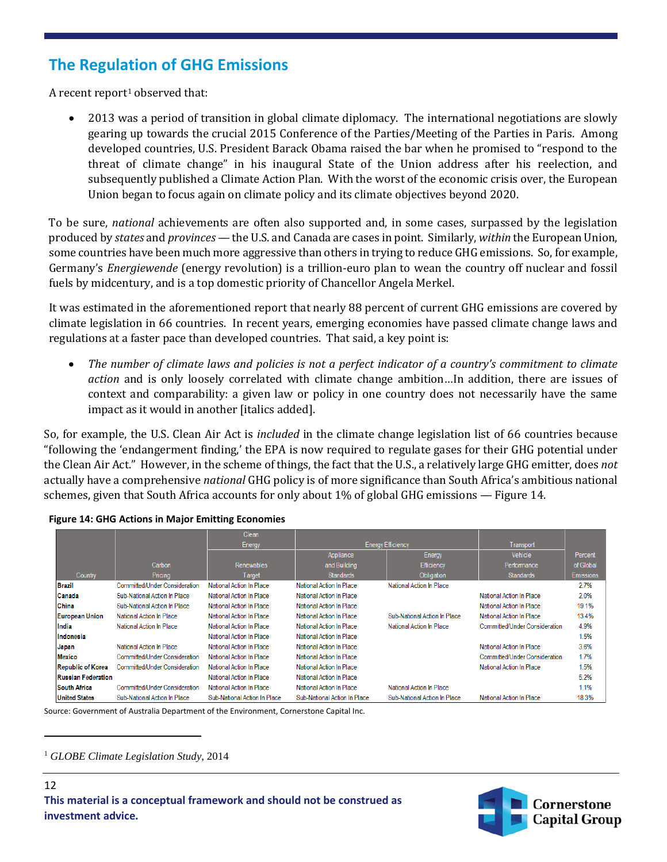### **The Regulation of GHG Emissions**

A recent report<sup>[1](#page-11-0)</sup> observed that:

• 2013 was a period of transition in global climate diplomacy. The international negotiations are slowly gearing up towards the crucial 2015 Conference of the Parties/Meeting of the Parties in Paris. Among developed countries, U.S. President Barack Obama raised the bar when he promised to "respond to the threat of climate change" in his inaugural State of the Union address after his reelection, and subsequently published a Climate Action Plan. With the worst of the economic crisis over, the European Union began to focus again on climate policy and its climate objectives beyond 2020.

To be sure, *national* achievements are often also supported and, in some cases, surpassed by the legislation produced by *states* and *provinces* — the U.S. and Canada are cases in point. Similarly, *within* the European Union, some countries have been much more aggressive than others in trying to reduce GHG emissions. So, for example, Germany's *Energiewende* (energy revolution) is a trillion-euro plan to wean the country off nuclear and fossil fuels by midcentury, and is a top domestic priority of Chancellor Angela Merkel.

It was estimated in the aforementioned report that nearly 88 percent of current GHG emissions are covered by climate legislation in 66 countries. In recent years, emerging economies have passed climate change laws and regulations at a faster pace than developed countries. That said, a key point is:

• *The number of climate laws and policies is not a perfect indicator of a country's commitment to climate action* and is only loosely correlated with climate change ambition…In addition, there are issues of context and comparability: a given law or policy in one country does not necessarily have the same impact as it would in another [italics added].

So, for example, the U.S. Clean Air Act is *included* in the climate change legislation list of 66 countries because "following the 'endangerment finding,' the EPA is now required to regulate gases for their GHG potential under the Clean Air Act." However, in the scheme of things, the fact that the U.S., a relatively large GHG emitter, does *not* actually have a comprehensive *national* GHG policy is of more significance than South Africa's ambitious national schemes, given that South Africa accounts for only about 1% of global GHG emissions — Figure 14.

|                           |                               | Clean                        |                              |                              |                               |                  |
|---------------------------|-------------------------------|------------------------------|------------------------------|------------------------------|-------------------------------|------------------|
|                           |                               | Energy                       | <b>Energy Efficiency</b>     |                              | Transport                     |                  |
|                           |                               |                              | Appliance                    | Energy                       | Vehicle                       | Percent          |
|                           | Carbon                        | <b>Renewables</b>            | and Building                 | Efficiency                   | Performance                   | of Global        |
| Country                   | Pricing                       | Target                       | <b>Standards</b>             | <b>Obligation</b>            | <b>Standards</b>              | <b>Emissions</b> |
| Brazil                    | Committed/Under Consideration | National Action In Place     | National Action In Place     | National Action In Place     |                               | 2.7%             |
| Canada                    | Sub-National Action In Place  | National Action In Place     | National Action In Place     |                              | National Action In Place      | 2.0%             |
| China                     | Sub-National Action In Place  | National Action In Place     | National Action In Place     |                              | National Action In Place      | 19.1%            |
| <b>European Union</b>     | National Action In Place      | National Action In Place     | National Action In Place     | Sub-National Action In Place | National Action In Place      | 13.4%            |
| India                     | National Action In Place      | National Action In Place     | National Action In Place     | National Action In Place     | Committed/Under Consideration | 4.9%             |
| Indonesia                 |                               | National Action In Place     | National Action In Place     |                              |                               | 1.5%             |
| Japan                     | National Action In Place      | National Action In Place     | National Action In Place     |                              | National Action In Place      | 3.6%             |
| <b>Mexico</b>             | Committed/Under Consideration | National Action In Place     | National Action In Place     |                              | Committed/Under Consideration | 1.7%             |
| <b>Republic of Korea</b>  | Committed/Under Consideration | National Action In Place     | National Action In Place     |                              | National Action In Place      | 1.5%             |
| <b>Russian Federation</b> |                               | National Action In Place     | National Action In Place     |                              |                               | 5.2%             |
| <b>South Africa</b>       | Committed/Under Consideration | National Action In Place     | National Action In Place     | National Action In Place     |                               | 1.1%             |
| <b>United States</b>      | Sub-National Action In Place  | Sub-National Action In Place | Sub-National Action In Place | Sub-National Action In Place | National Action In Place      | 18.3%            |

Source: Government of Australia Department of the Environment, Cornerstone Capital Inc.

<span id="page-11-0"></span><sup>1</sup> *GLOBE Climate Legislation Study,* 2014

l

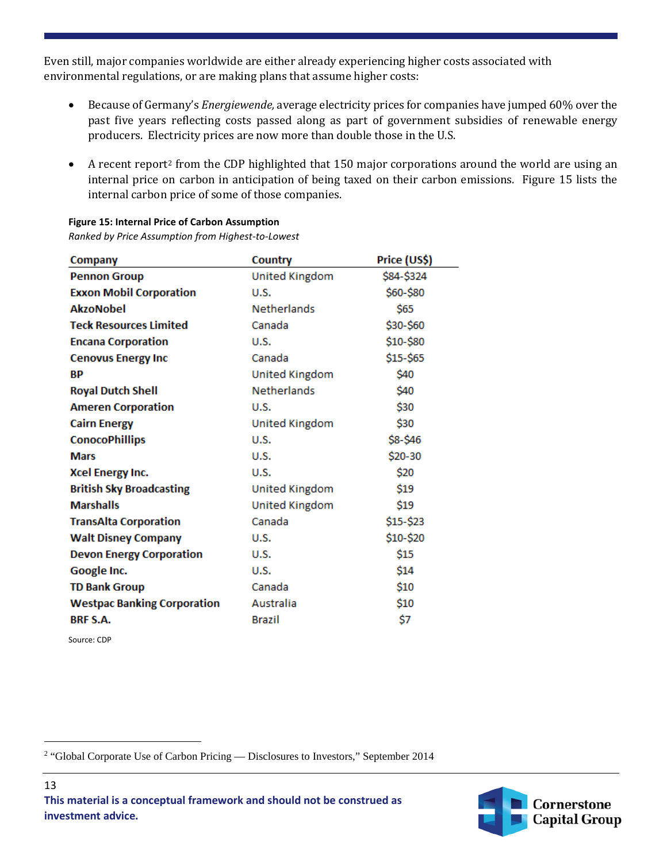Even still, major companies worldwide are either already experiencing higher costs associated with environmental regulations, or are making plans that assume higher costs:

- Because of Germany's *Energiewende,* average electricity prices for companies have jumped 60% over the past five years reflecting costs passed along as part of government subsidies of renewable energy producers. Electricity prices are now more than double those in the U.S.
- A recent report<sup>2</sup> from the CDP highlighted that 150 major corporations around the world are using an internal price on carbon in anticipation of being taxed on their carbon emissions. Figure 15 lists the internal carbon price of some of those companies.

| <b>Company</b>                     | Country               | Price (US\$) |
|------------------------------------|-----------------------|--------------|
| <b>Pennon Group</b>                | <b>United Kingdom</b> | \$84-\$324   |
| <b>Exxon Mobil Corporation</b>     | U.S.                  | \$60-\$80    |
| <b>AkzoNobel</b>                   | <b>Netherlands</b>    | \$65         |
| <b>Teck Resources Limited</b>      | Canada                | \$30-\$60    |
| <b>Encana Corporation</b>          | U.S.                  | \$10-\$80    |
| <b>Cenovus Energy Inc</b>          | Canada                | \$15-\$65    |
| <b>BP</b>                          | United Kingdom        | \$40         |
| <b>Royal Dutch Shell</b>           | <b>Netherlands</b>    | \$40         |
| <b>Ameren Corporation</b>          | U.S.                  | \$30         |
| <b>Cairn Energy</b>                | United Kingdom        | \$30         |
| <b>ConocoPhillips</b>              | U.S.                  | \$8-\$46     |
| <b>Mars</b>                        | U.S.                  | \$20-30      |
| <b>Xcel Energy Inc.</b>            | U.S.                  | \$20         |
| <b>British Sky Broadcasting</b>    | <b>United Kingdom</b> | \$19         |
| <b>Marshalls</b>                   | <b>United Kingdom</b> | \$19         |
| <b>TransAlta Corporation</b>       | Canada                | \$15-\$23    |
| <b>Walt Disney Company</b>         | U.S.                  | \$10-\$20    |
| <b>Devon Energy Corporation</b>    | U.S.                  | \$15         |
| Google Inc.                        | <b>U.S.</b>           | \$14         |
| <b>TD Bank Group</b>               | Canada                | \$10         |
| <b>Westpac Banking Corporation</b> | Australia             | \$10         |
| <b>BRF S.A.</b>                    | <b>Brazil</b>         | \$7          |

**Figure 15: Internal Price of Carbon Assumption** *Ranked by Price Assumption from Highest-to-Lowest*

Source: CDP

 $\overline{\phantom{a}}$ 



<span id="page-12-0"></span><sup>&</sup>lt;sup>2</sup> "Global Corporate Use of Carbon Pricing — Disclosures to Investors," September 2014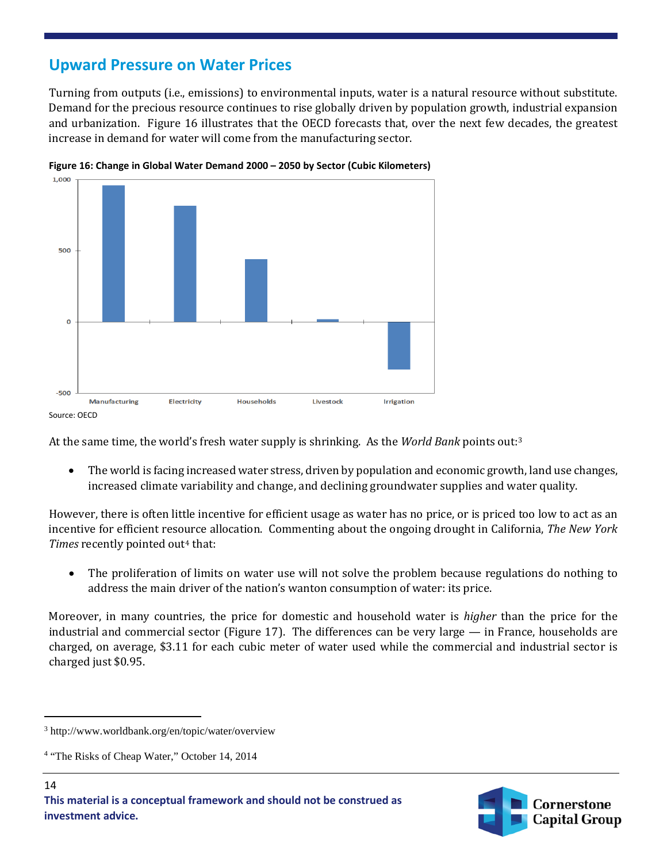### **Upward Pressure on Water Prices**

Turning from outputs (i.e., emissions) to environmental inputs, water is a natural resource without substitute. Demand for the precious resource continues to rise globally driven by population growth, industrial expansion and urbanization. Figure 16 illustrates that the OECD forecasts that, over the next few decades, the greatest increase in demand for water will come from the manufacturing sector.





At the same time, the world's fresh water supply is shrinking. As the *World Bank* points out:[3](#page-13-0)

• The world is facing increased water stress, driven by population and economic growth, land use changes, increased climate variability and change, and declining groundwater supplies and water quality.

However, there is often little incentive for efficient usage as water has no price, or is priced too low to act as an incentive for efficient resource allocation. Commenting about the ongoing drought in California, *The New York*  Times recently pointed out<sup>[4](#page-13-1)</sup> that:

• The proliferation of limits on water use will not solve the problem because regulations do nothing to address the main driver of the nation's wanton consumption of water: its price.

Moreover, in many countries, the price for domestic and household water is *higher* than the price for the industrial and commercial sector (Figure 17). The differences can be very large — in France, households are charged, on average, \$3.11 for each cubic meter of water used while the commercial and industrial sector is charged just \$0.95.

l



<span id="page-13-0"></span><sup>3</sup> http://www.worldbank.org/en/topic/water/overview

<span id="page-13-1"></span><sup>&</sup>lt;sup>4</sup> "The Risks of Cheap Water," October 14, 2014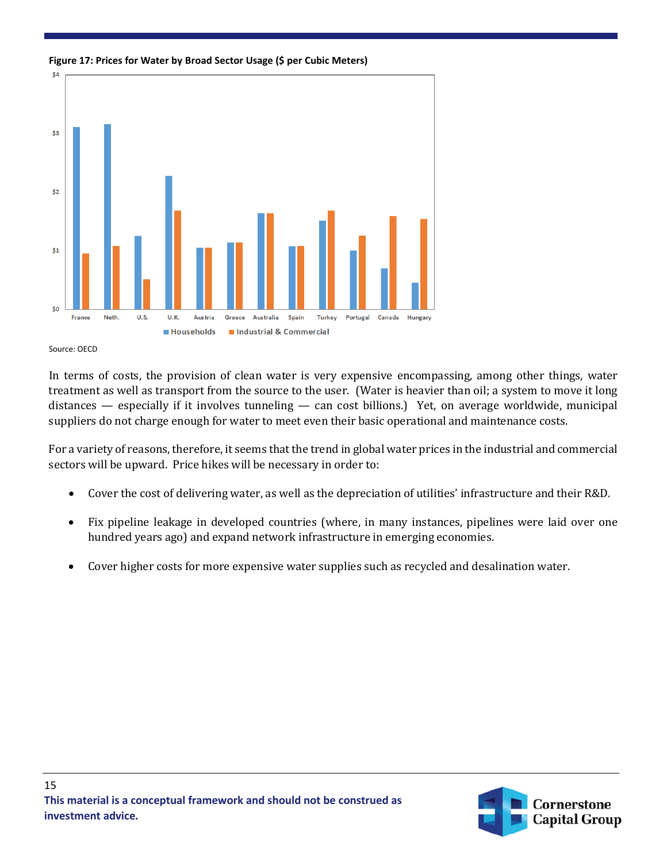



Source: OECD

In terms of costs, the provision of clean water is very expensive encompassing, among other things, water treatment as well as transport from the source to the user. (Water is heavier than oil; a system to move it long distances — especially if it involves tunneling — can cost billions.) Yet, on average worldwide, municipal suppliers do not charge enough for water to meet even their basic operational and maintenance costs.

For a variety of reasons, therefore, it seems that the trend in global water prices in the industrial and commercial sectors will be upward. Price hikes will be necessary in order to:

- Cover the cost of delivering water, as well as the depreciation of utilities' infrastructure and their R&D.
- Fix pipeline leakage in developed countries (where, in many instances, pipelines were laid over one hundred years ago) and expand network infrastructure in emerging economies.
- Cover higher costs for more expensive water supplies such as recycled and desalination water.

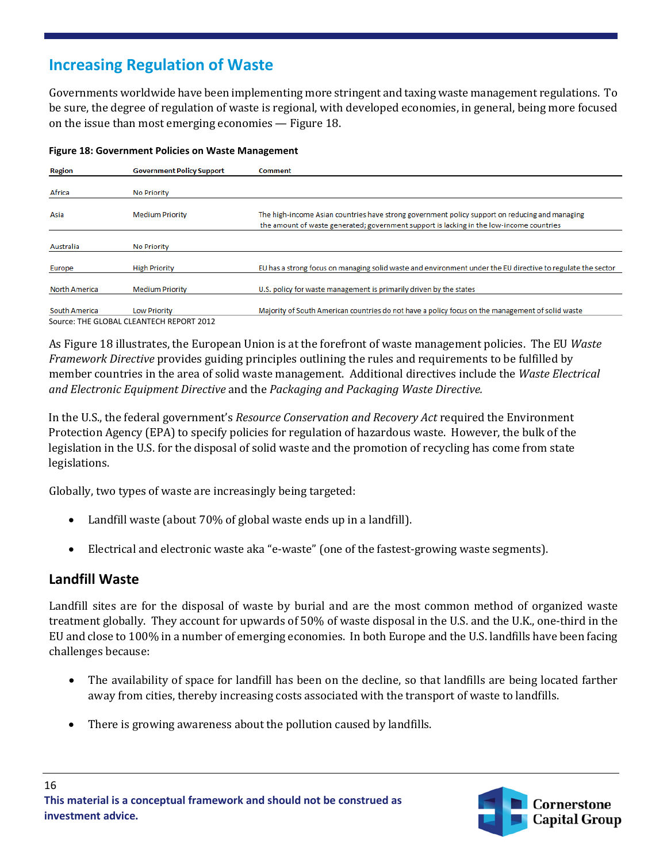## **Increasing Regulation of Waste**

Governments worldwide have been implementing more stringent and taxing waste management regulations. To be sure, the degree of regulation of waste is regional, with developed economies, in general, being more focused on the issue than most emerging economies — Figure 18.

| <b>Region</b>        | <b>Government Policy Support</b>         | <b>Comment</b>                                                                                                                                                                             |
|----------------------|------------------------------------------|--------------------------------------------------------------------------------------------------------------------------------------------------------------------------------------------|
|                      |                                          |                                                                                                                                                                                            |
| Africa               | <b>No Priority</b>                       |                                                                                                                                                                                            |
| Asia                 | <b>Medium Priority</b>                   | The high-income Asian countries have strong government policy support on reducing and managing<br>the amount of waste generated; government support is lacking in the low-income countries |
| Australia            | <b>No Priority</b>                       |                                                                                                                                                                                            |
| Europe               | <b>High Priority</b>                     | EU has a strong focus on managing solid waste and environment under the EU directive to regulate the sector                                                                                |
| <b>North America</b> | <b>Medium Priority</b>                   | U.S. policy for waste management is primarily driven by the states                                                                                                                         |
| South America        | <b>Low Priority</b>                      | Majority of South American countries do not have a policy focus on the management of solid waste                                                                                           |
|                      | Source: THE GLOBAL CLEANTECH REPORT 2012 |                                                                                                                                                                                            |

#### **Figure 18: Government Policies on Waste Management**

As Figure 18 illustrates, the European Union is at the forefront of waste management policies. The EU *Waste Framework Directive* provides guiding principles outlining the rules and requirements to be fulfilled by member countries in the area of solid waste management. Additional directives include the *Waste Electrical and Electronic Equipment Directive* and the *Packaging and Packaging Waste Directive.*

In the U.S., the federal government's *Resource Conservation and Recovery Act* required the Environment Protection Agency (EPA) to specify policies for regulation of hazardous waste. However, the bulk of the legislation in the U.S. for the disposal of solid waste and the promotion of recycling has come from state legislations.

Globally, two types of waste are increasingly being targeted:

- Landfill waste (about 70% of global waste ends up in a landfill).
- Electrical and electronic waste aka "e-waste" (one of the fastest-growing waste segments).

### **Landfill Waste**

Landfill sites are for the disposal of waste by burial and are the most common method of organized waste treatment globally. They account for upwards of 50% of waste disposal in the U.S. and the U.K., one-third in the EU and close to 100% in a number of emerging economies. In both Europe and the U.S. landfills have been facing challenges because:

- The availability of space for landfill has been on the decline, so that landfills are being located farther away from cities, thereby increasing costs associated with the transport of waste to landfills.
- There is growing awareness about the pollution caused by landfills.

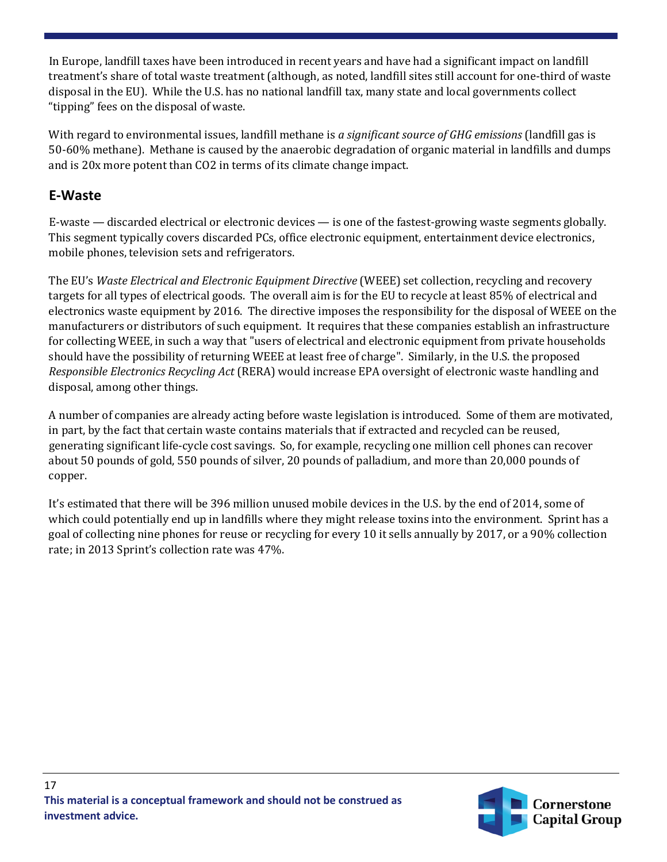In Europe, landfill taxes have been introduced in recent years and have had a significant impact on landfill treatment's share of total waste treatment (although, as noted, landfill sites still account for one-third of waste disposal in the EU). While the U.S. has no national landfill tax, many state and local governments collect "tipping" fees on the disposal of waste.

With regard to environmental issues, landfill methane is *a significant source of GHG emissions* (landfill gas is 50-60% methane). Methane is caused by the anaerobic degradation of organic material in landfills and dumps and is 20x more potent than CO2 in terms of its climate change impact.

### **E-Waste**

E-waste — discarded electrical or electronic devices — is one of the fastest-growing waste segments globally. This segment typically covers discarded PCs, office electronic equipment, entertainment device electronics, mobile phones, television sets and refrigerators.

The EU's *Waste Electrical and Electronic Equipment Directive* (WEEE) set collection, recycling and recovery targets for all types of electrical goods. The overall aim is for the EU to recycle at least 85% of electrical and electronics waste equipment by 2016. The directive imposes the responsibility for the disposal of WEEE on the manufacturers or distributors of such equipment. It requires that these companies establish an infrastructure for collecting WEEE, in such a way that "users of electrical and electronic equipment from private households should have the possibility of returning WEEE at least free of charge". Similarly, in the U.S. the proposed *Responsible Electronics Recycling Act* (RERA) would increase EPA oversight of electronic waste handling and disposal, among other things.

A number of companies are already acting before waste legislation is introduced. Some of them are motivated, in part, by the fact that certain waste contains materials that if extracted and recycled can be reused, generating significant life-cycle cost savings. So, for example, recycling one million cell phones can recover about 50 pounds of gold, 550 pounds of silver, 20 pounds of palladium, and more than 20,000 pounds of copper.

It's estimated that there will be 396 million unused mobile devices in the U.S. by the end of 2014, some of which could potentially end up in landfills where they might release toxins into the environment. Sprint has a goal of collecting nine phones for reuse or recycling for every 10 it sells annually by 2017, or a 90% collection rate; in 2013 Sprint's collection rate was 47%.